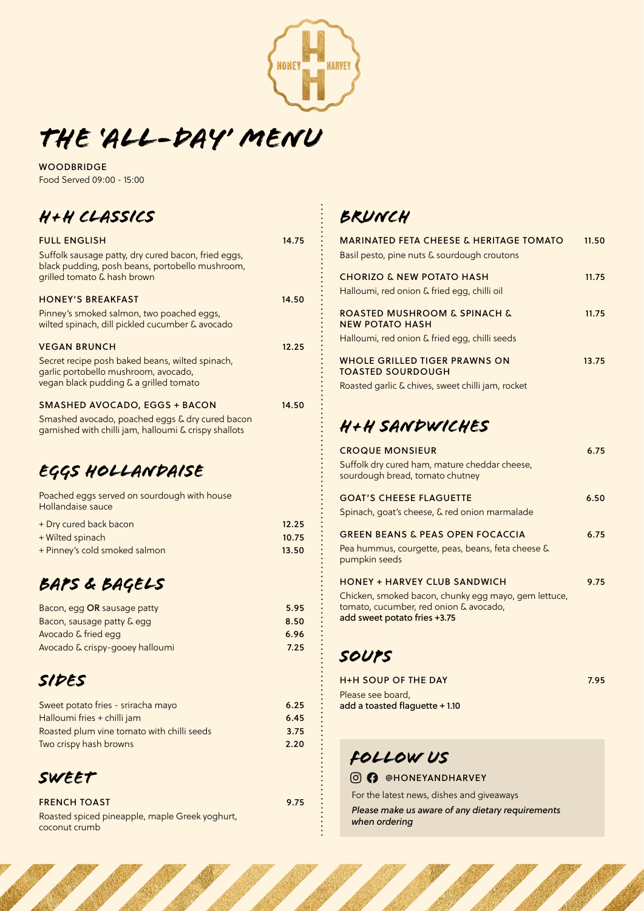

# *THE 'ALL-day' menu*

**WOODBRIDGE** Food Served 09:00 - 15:00

# *H+H CLASSICS*

| <b>FULL ENGLISH</b><br>Suffolk sausage patty, dry cured bacon, fried eggs,<br>black pudding, posh beans, portobello mushroom,<br>grilled tomato & hash brown | 14.75 |
|--------------------------------------------------------------------------------------------------------------------------------------------------------------|-------|
| <b>HONEY'S BREAKFAST</b>                                                                                                                                     | 14.50 |
| Pinney's smoked salmon, two poached eggs,<br>wilted spinach, dill pickled cucumber & avocado                                                                 |       |
| <b>VEGAN BRUNCH</b>                                                                                                                                          | 12.25 |
| Secret recipe posh baked beans, wilted spinach,<br>garlic portobello mushroom, avocado,<br>vegan black pudding & a grilled tomato                            |       |
| <b>SMASHED AVOCADO, EGGS + BACON</b>                                                                                                                         | 14.50 |
| Smashed avocado, poached eggs & dry cured bacon<br>garnished with chilli jam, halloumi & crispy shallots                                                     |       |

# *EGGS HOLLANDAISE*

| Poached eggs served on sourdough with house<br>Hollandaise sauce |       |
|------------------------------------------------------------------|-------|
| + Dry cured back bacon                                           | 12.25 |
| + Wilted spinach                                                 | 10.75 |
| + Pinney's cold smoked salmon                                    | 13.50 |

# *BAPS & BAGELS*

| Bacon, egg OR sausage patty     | 5.95 |
|---------------------------------|------|
| Bacon, sausage patty & egg      | 8.50 |
| Avocado & fried egg             | 6.96 |
| Avocado & crispy-gooey halloumi | 7.25 |

### *SIDES*

| Sweet potato fries - sriracha mayo         | 6.25 |
|--------------------------------------------|------|
| Halloumi fries + chilli jam                | 6.45 |
| Roasted plum vine tomato with chilli seeds | 3.75 |
| Two crispy hash browns                     | 2.20 |

#### *SWEET*

FRENCH TOAST Roasted spiced pineapple, maple Greek yoghurt, coconut crumb

*BRUNCH*

| <b>MARINATED FETA CHEESE &amp; HERITAGE TOMATO</b><br>Basil pesto, pine nuts & sourdough croutons                                                                     | 11.50 |
|-----------------------------------------------------------------------------------------------------------------------------------------------------------------------|-------|
| <b>CHORIZO &amp; NEW POTATO HASH</b><br>Halloumi, red onion & fried egg, chilli oil                                                                                   | 11.75 |
| <b>ROASTED MUSHROOM &amp; SPINACH &amp;</b><br><b>NEW POTATO HASH</b><br>Halloumi, red onion & fried egg, chilli seeds                                                | 11.75 |
| <b>WHOLE GRILLED TIGER PRAWNS ON</b><br><b>TOASTED SOURDOUGH</b><br>Roasted garlic & chives, sweet chilli jam, rocket                                                 | 13.75 |
| H+H SANDWICHES                                                                                                                                                        |       |
| <b>CROQUE MONSIEUR</b><br>Suffolk dry cured ham, mature cheddar cheese,<br>sourdough bread, tomato chutney                                                            | 6.75  |
| <b>GOAT'S CHEESE FLAGUETTE</b><br>Spinach, goat's cheese, & red onion marmalade                                                                                       | 6.50  |
| <b>GREEN BEANS &amp; PEAS OPEN FOCACCIA</b><br>Pea hummus, courgette, peas, beans, feta cheese &<br>pumpkin seeds                                                     | 6.75  |
| <b>HONEY + HARVEY CLUB SANDWICH</b><br>Chicken, smoked bacon, chunky egg mayo, gem lettuce,<br>tomato, cucumber, red onion & avocado,<br>add sweet potato fries +3.75 | 9.75  |

### *SOUPS*

9.75

| <b>H+H SOUP OF THE DAY</b>                          | 7.95 |
|-----------------------------------------------------|------|
| Please see board.<br>add a toasted flaquette + 1.10 |      |
|                                                     |      |

# *Follow us*

#### **@** @HONEYANDHARVEY

For the latest news, dishes and giveaways

*Please make us aware of any dietary requirements when ordering*